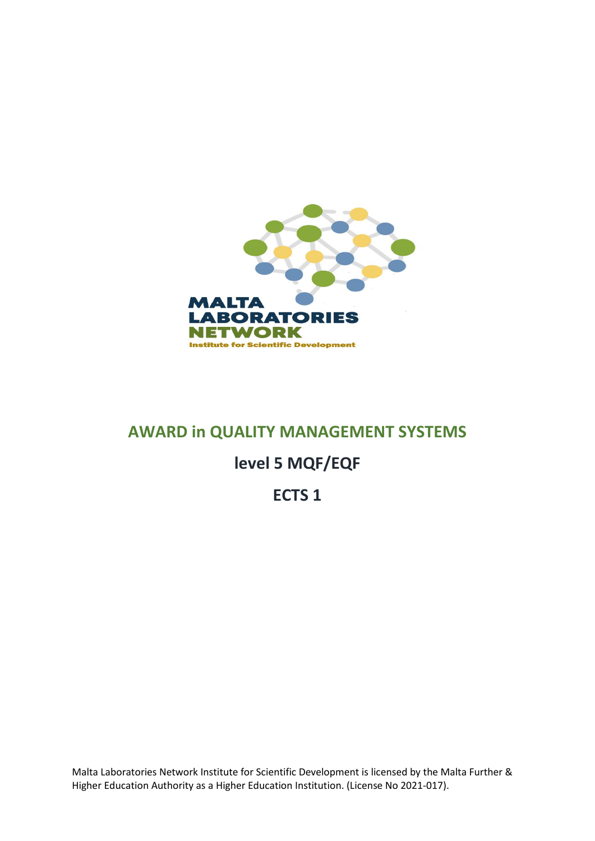

## **AWARD in QUALITY MANAGEMENT SYSTEMS**

# **level 5 MQF/EQF**

# **ECTS 1**

Malta Laboratories Network Institute for Scientific Development is licensed by the Malta Further & Higher Education Authority as a Higher Education Institution. (License No 2021-017).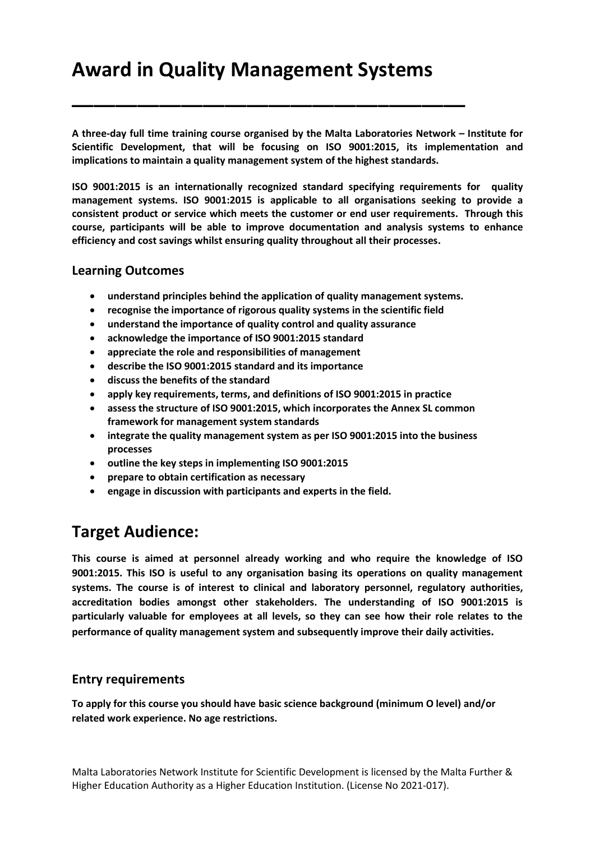# **Award in Quality Management Systems**

**\_\_\_\_\_\_\_\_\_\_\_\_\_\_\_\_\_\_\_\_\_\_\_\_\_\_\_\_\_\_\_\_\_\_\_\_**

**A three-day full time training course organised by the Malta Laboratories Network – Institute for Scientific Development, that will be focusing on ISO 9001:2015, its implementation and implications to maintain a quality management system of the highest standards.** 

**ISO 9001:2015 is an internationally recognized standard specifying requirements for quality management systems. ISO 9001:2015 is applicable to all organisations seeking to provide a consistent product or service which meets the customer or end user requirements. Through this course, participants will be able to improve documentation and analysis systems to enhance efficiency and cost savings whilst ensuring quality throughout all their processes.**

### **Learning Outcomes**

- **understand principles behind the application of quality management systems.**
- **recognise the importance of rigorous quality systems in the scientific field**
- **understand the importance of quality control and quality assurance**
- **acknowledge the importance of ISO 9001:2015 standard**
- **appreciate the role and responsibilities of management**
- **describe the ISO 9001:2015 standard and its importance**
- **discuss the benefits of the standard**
- **apply key requirements, terms, and definitions of ISO 9001:2015 in practice**
- **assess the structure of ISO 9001:2015, which incorporates the Annex SL common framework for management system standards**
- **integrate the quality management system as per ISO 9001:2015 into the business processes**
- **outline the key steps in implementing ISO 9001:2015**
- **prepare to obtain certification as necessary**
- **engage in discussion with participants and experts in the field.**

### **Target Audience:**

**This course is aimed at personnel already working and who require the knowledge of ISO 9001:2015. This ISO is useful to any organisation basing its operations on quality management systems. The course is of interest to clinical and laboratory personnel, regulatory authorities, accreditation bodies amongst other stakeholders. The understanding of ISO 9001:2015 is particularly valuable for employees at all levels, so they can see how their role relates to the performance of quality management system and subsequently improve their daily activities.**

### **Entry requirements**

**To apply for this course you should have basic science background (minimum O level) and/or related work experience. No age restrictions.**

Malta Laboratories Network Institute for Scientific Development is licensed by the Malta Further & Higher Education Authority as a Higher Education Institution. (License No 2021-017).